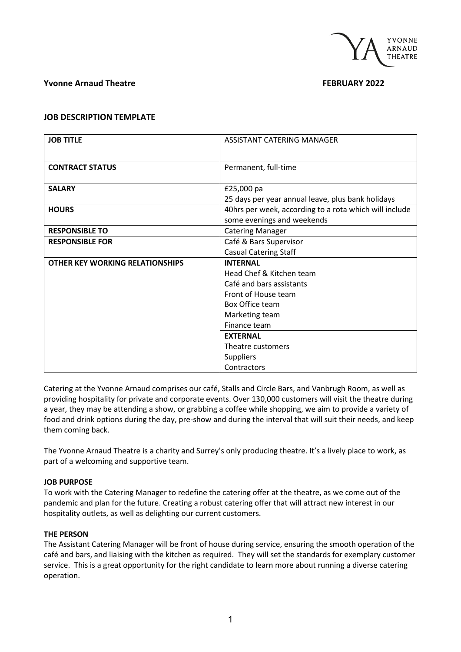

# **Yvonne Arnaud Theatre FEBRUARY 2022**

# **JOB DESCRIPTION TEMPLATE**

| <b>JOB TITLE</b>                | ASSISTANT CATERING MANAGER                             |  |
|---------------------------------|--------------------------------------------------------|--|
|                                 |                                                        |  |
| <b>CONTRACT STATUS</b>          | Permanent, full-time                                   |  |
|                                 |                                                        |  |
| <b>SALARY</b>                   | £25,000 pa                                             |  |
|                                 | 25 days per year annual leave, plus bank holidays      |  |
| <b>HOURS</b>                    | 40hrs per week, according to a rota which will include |  |
|                                 | some evenings and weekends                             |  |
| <b>RESPONSIBLE TO</b>           | <b>Catering Manager</b>                                |  |
| <b>RESPONSIBLE FOR</b>          | Café & Bars Supervisor                                 |  |
|                                 | <b>Casual Catering Staff</b>                           |  |
| OTHER KEY WORKING RELATIONSHIPS | <b>INTFRNAL</b>                                        |  |
|                                 | Head Chef & Kitchen team                               |  |
|                                 | Café and bars assistants                               |  |
|                                 | Front of House team                                    |  |
|                                 | <b>Box Office team</b>                                 |  |
|                                 | Marketing team                                         |  |
|                                 | Finance team                                           |  |
|                                 | <b>EXTERNAL</b>                                        |  |
|                                 | Theatre customers                                      |  |
|                                 | <b>Suppliers</b>                                       |  |
|                                 | Contractors                                            |  |

Catering at the Yvonne Arnaud comprises our café, Stalls and Circle Bars, and Vanbrugh Room, as well as providing hospitality for private and corporate events. Over 130,000 customers will visit the theatre during a year, they may be attending a show, or grabbing a coffee while shopping, we aim to provide a variety of food and drink options during the day, pre-show and during the interval that will suit their needs, and keep them coming back.

The Yvonne Arnaud Theatre is a charity and Surrey's only producing theatre. It's a lively place to work, as part of a welcoming and supportive team.

### **JOB PURPOSE**

To work with the Catering Manager to redefine the catering offer at the theatre, as we come out of the pandemic and plan for the future. Creating a robust catering offer that will attract new interest in our hospitality outlets, as well as delighting our current customers.

### **THE PERSON**

The Assistant Catering Manager will be front of house during service, ensuring the smooth operation of the café and bars, and liaising with the kitchen as required. They will set the standards for exemplary customer service. This is a great opportunity for the right candidate to learn more about running a diverse catering operation.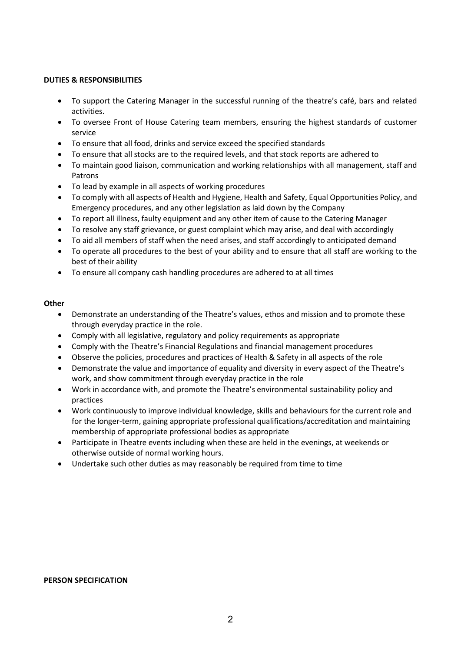### **DUTIES & RESPONSIBILITIES**

- To support the Catering Manager in the successful running of the theatre's café, bars and related activities.
- To oversee Front of House Catering team members, ensuring the highest standards of customer service
- To ensure that all food, drinks and service exceed the specified standards
- To ensure that all stocks are to the required levels, and that stock reports are adhered to
- To maintain good liaison, communication and working relationships with all management, staff and Patrons
- To lead by example in all aspects of working procedures
- To comply with all aspects of Health and Hygiene, Health and Safety, Equal Opportunities Policy, and Emergency procedures, and any other legislation as laid down by the Company
- To report all illness, faulty equipment and any other item of cause to the Catering Manager
- To resolve any staff grievance, or guest complaint which may arise, and deal with accordingly
- To aid all members of staff when the need arises, and staff accordingly to anticipated demand
- To operate all procedures to the best of your ability and to ensure that all staff are working to the best of their ability
- To ensure all company cash handling procedures are adhered to at all times

# **Other**

- Demonstrate an understanding of the Theatre's values, ethos and mission and to promote these through everyday practice in the role.
- Comply with all legislative, regulatory and policy requirements as appropriate
- Comply with the Theatre's Financial Regulations and financial management procedures
- Observe the policies, procedures and practices of Health & Safety in all aspects of the role
- Demonstrate the value and importance of equality and diversity in every aspect of the Theatre's work, and show commitment through everyday practice in the role
- Work in accordance with, and promote the Theatre's environmental sustainability policy and practices
- Work continuously to improve individual knowledge, skills and behaviours for the current role and for the longer-term, gaining appropriate professional qualifications/accreditation and maintaining membership of appropriate professional bodies as appropriate
- Participate in Theatre events including when these are held in the evenings, at weekends or otherwise outside of normal working hours.
- Undertake such other duties as may reasonably be required from time to time

### **PERSON SPECIFICATION**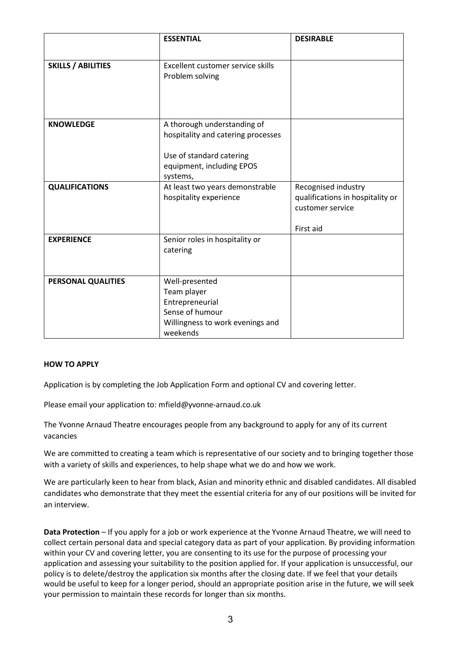|                           | <b>ESSENTIAL</b>                                                                                                                       | <b>DESIRABLE</b>                                                                         |
|---------------------------|----------------------------------------------------------------------------------------------------------------------------------------|------------------------------------------------------------------------------------------|
| <b>SKILLS / ABILITIES</b> | Excellent customer service skills<br>Problem solving                                                                                   |                                                                                          |
| <b>KNOWLEDGE</b>          | A thorough understanding of<br>hospitality and catering processes<br>Use of standard catering<br>equipment, including EPOS<br>systems, |                                                                                          |
| <b>QUALIFICATIONS</b>     | At least two years demonstrable<br>hospitality experience                                                                              | Recognised industry<br>qualifications in hospitality or<br>customer service<br>First aid |
| <b>EXPERIENCE</b>         | Senior roles in hospitality or<br>catering                                                                                             |                                                                                          |
| PERSONAL QUALITIES        | Well-presented<br>Team player<br>Entrepreneurial<br>Sense of humour<br>Willingness to work evenings and<br>weekends                    |                                                                                          |

### **HOW TO APPLY**

Application is by completing the Job Application Form and optional CV and covering letter.

Please email your application to: mfield@yvonne-arnaud.co.uk

The Yvonne Arnaud Theatre encourages people from any background to apply for any of its current vacancies

We are committed to creating a team which is representative of our society and to bringing together those with a variety of skills and experiences, to help shape what we do and how we work.

We are particularly keen to hear from black, Asian and minority ethnic and disabled candidates. All disabled candidates who demonstrate that they meet the essential criteria for any of our positions will be invited for an interview.

**Data Protection** – If you apply for a job or work experience at the Yvonne Arnaud Theatre, we will need to collect certain personal data and special category data as part of your application. By providing information within your CV and covering letter, you are consenting to its use for the purpose of processing your application and assessing your suitability to the position applied for. If your application is unsuccessful, our policy is to delete/destroy the application six months after the closing date. If we feel that your details would be useful to keep for a longer period, should an appropriate position arise in the future, we will seek your permission to maintain these records for longer than six months.